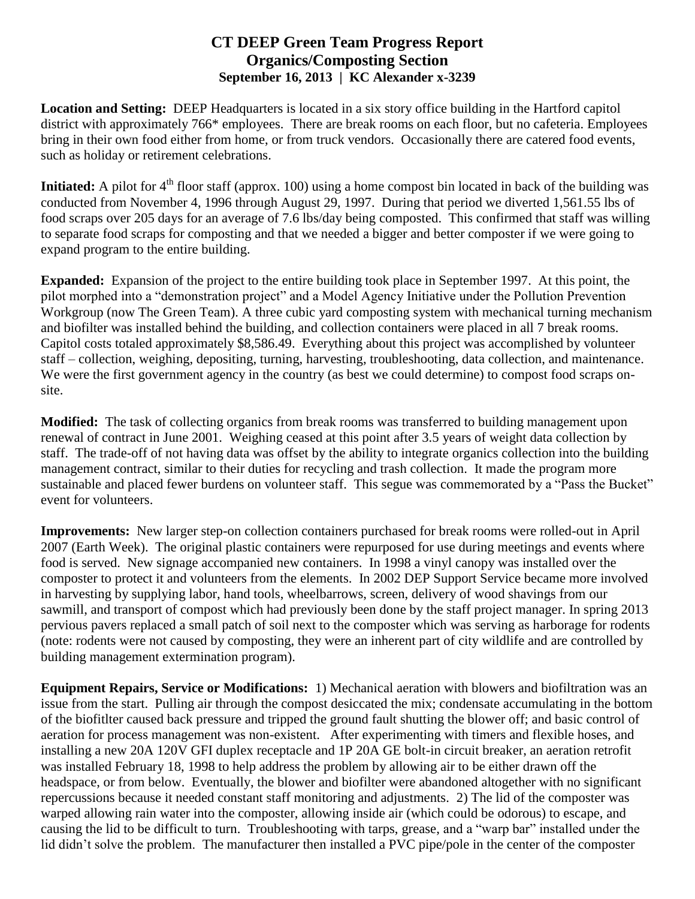## **CT DEEP Green Team Progress Report Organics/Composting Section September 16, 2013 | KC Alexander x-3239**

**Location and Setting:** DEEP Headquarters is located in a six story office building in the Hartford capitol district with approximately 766\* employees. There are break rooms on each floor, but no cafeteria. Employees bring in their own food either from home, or from truck vendors. Occasionally there are catered food events, such as holiday or retirement celebrations.

**Initiated:** A pilot for 4<sup>th</sup> floor staff (approx. 100) using a home compost bin located in back of the building was conducted from November 4, 1996 through August 29, 1997. During that period we diverted 1,561.55 lbs of food scraps over 205 days for an average of 7.6 lbs/day being composted. This confirmed that staff was willing to separate food scraps for composting and that we needed a bigger and better composter if we were going to expand program to the entire building.

**Expanded:** Expansion of the project to the entire building took place in September 1997. At this point, the pilot morphed into a "demonstration project" and a Model Agency Initiative under the Pollution Prevention Workgroup (now The Green Team). A three cubic yard composting system with mechanical turning mechanism and biofilter was installed behind the building, and collection containers were placed in all 7 break rooms. Capitol costs totaled approximately \$8,586.49. Everything about this project was accomplished by volunteer staff – collection, weighing, depositing, turning, harvesting, troubleshooting, data collection, and maintenance. We were the first government agency in the country (as best we could determine) to compost food scraps onsite.

**Modified:** The task of collecting organics from break rooms was transferred to building management upon renewal of contract in June 2001. Weighing ceased at this point after 3.5 years of weight data collection by staff. The trade-off of not having data was offset by the ability to integrate organics collection into the building management contract, similar to their duties for recycling and trash collection. It made the program more sustainable and placed fewer burdens on volunteer staff. This segue was commemorated by a "Pass the Bucket" event for volunteers.

**Improvements:** New larger step-on collection containers purchased for break rooms were rolled-out in April 2007 (Earth Week). The original plastic containers were repurposed for use during meetings and events where food is served. New signage accompanied new containers. In 1998 a vinyl canopy was installed over the composter to protect it and volunteers from the elements. In 2002 DEP Support Service became more involved in harvesting by supplying labor, hand tools, wheelbarrows, screen, delivery of wood shavings from our sawmill, and transport of compost which had previously been done by the staff project manager. In spring 2013 pervious pavers replaced a small patch of soil next to the composter which was serving as harborage for rodents (note: rodents were not caused by composting, they were an inherent part of city wildlife and are controlled by building management extermination program).

**Equipment Repairs, Service or Modifications:** 1) Mechanical aeration with blowers and biofiltration was an issue from the start. Pulling air through the compost desiccated the mix; condensate accumulating in the bottom of the biofitlter caused back pressure and tripped the ground fault shutting the blower off; and basic control of aeration for process management was non-existent. After experimenting with timers and flexible hoses, and installing a new 20A 120V GFI duplex receptacle and 1P 20A GE bolt-in circuit breaker, an aeration retrofit was installed February 18, 1998 to help address the problem by allowing air to be either drawn off the headspace, or from below. Eventually, the blower and biofilter were abandoned altogether with no significant repercussions because it needed constant staff monitoring and adjustments. 2) The lid of the composter was warped allowing rain water into the composter, allowing inside air (which could be odorous) to escape, and causing the lid to be difficult to turn. Troubleshooting with tarps, grease, and a "warp bar" installed under the lid didn't solve the problem. The manufacturer then installed a PVC pipe/pole in the center of the composter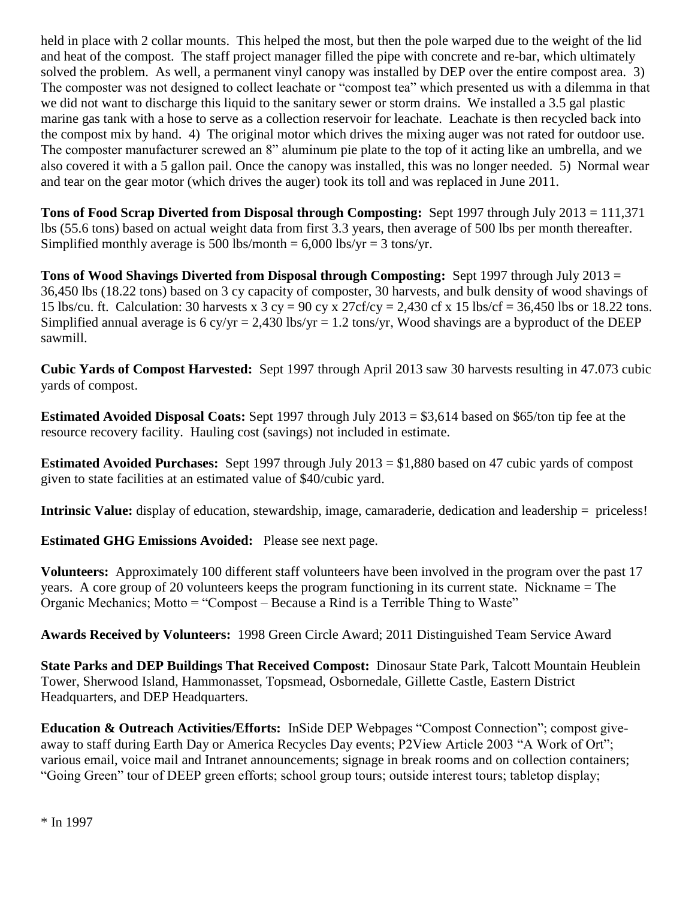held in place with 2 collar mounts. This helped the most, but then the pole warped due to the weight of the lid and heat of the compost. The staff project manager filled the pipe with concrete and re-bar, which ultimately solved the problem. As well, a permanent vinyl canopy was installed by DEP over the entire compost area. 3) The composter was not designed to collect leachate or "compost tea" which presented us with a dilemma in that we did not want to discharge this liquid to the sanitary sewer or storm drains. We installed a 3.5 gal plastic marine gas tank with a hose to serve as a collection reservoir for leachate. Leachate is then recycled back into the compost mix by hand. 4) The original motor which drives the mixing auger was not rated for outdoor use. The composter manufacturer screwed an 8<sup>n</sup> aluminum pie plate to the top of it acting like an umbrella, and we also covered it with a 5 gallon pail. Once the canopy was installed, this was no longer needed. 5) Normal wear and tear on the gear motor (which drives the auger) took its toll and was replaced in June 2011.

**Tons of Food Scrap Diverted from Disposal through Composting:** Sept 1997 through July 2013 = 111,371 lbs (55.6 tons) based on actual weight data from first 3.3 years, then average of 500 lbs per month thereafter. Simplified monthly average is 500 lbs/month =  $6,000$  lbs/yr = 3 tons/yr.

**Tons of Wood Shavings Diverted from Disposal through Composting:** Sept 1997 through July 2013 = 36,450 lbs (18.22 tons) based on 3 cy capacity of composter, 30 harvests, and bulk density of wood shavings of 15 lbs/cu. ft. Calculation: 30 harvests x 3 cy = 90 cy x 27cf/cy = 2,430 cf x 15 lbs/cf = 36,450 lbs or 18.22 tons. Simplified annual average is 6 cy/yr = 2,430 lbs/yr = 1.2 tons/yr, Wood shavings are a byproduct of the DEEP sawmill.

**Cubic Yards of Compost Harvested:** Sept 1997 through April 2013 saw 30 harvests resulting in 47.073 cubic yards of compost.

**Estimated Avoided Disposal Coats:** Sept 1997 through July 2013 = \$3,614 based on \$65/ton tip fee at the resource recovery facility. Hauling cost (savings) not included in estimate.

**Estimated Avoided Purchases:** Sept 1997 through July 2013 = \$1,880 based on 47 cubic yards of compost given to state facilities at an estimated value of \$40/cubic yard.

**Intrinsic Value:** display of education, stewardship, image, camaraderie, dedication and leadership = priceless!

**Estimated GHG Emissions Avoided:** Please see next page.

**Volunteers:** Approximately 100 different staff volunteers have been involved in the program over the past 17 years. A core group of 20 volunteers keeps the program functioning in its current state. Nickname = The Organic Mechanics; Motto = "Compost – Because a Rind is a Terrible Thing to Waste"

**Awards Received by Volunteers:** 1998 Green Circle Award; 2011 Distinguished Team Service Award

**State Parks and DEP Buildings That Received Compost:** Dinosaur State Park, Talcott Mountain Heublein Tower, Sherwood Island, Hammonasset, Topsmead, Osbornedale, Gillette Castle, Eastern District Headquarters, and DEP Headquarters.

**Education & Outreach Activities/Efforts:** InSide DEP Webpages "Compost Connection"; compost giveaway to staff during Earth Day or America Recycles Day events; P2View Article 2003 "A Work of Ort"; various email, voice mail and Intranet announcements; signage in break rooms and on collection containers; "Going Green" tour of DEEP green efforts; school group tours; outside interest tours; tabletop display;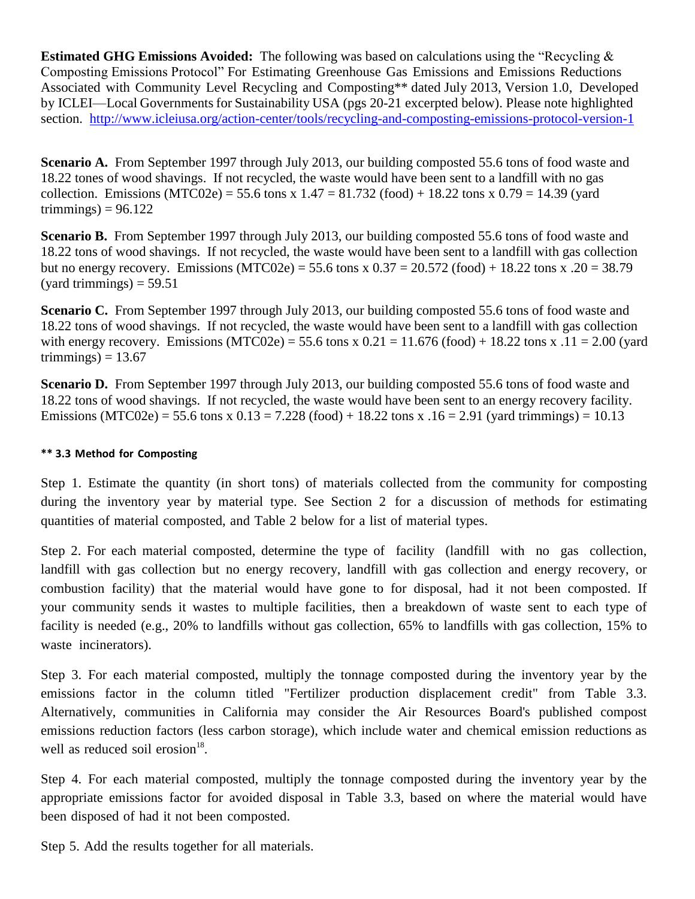**Estimated GHG Emissions Avoided:** The following was based on calculations using the "Recycling  $\&$ Composting Emissions Protocol" For Estimating Greenhouse Gas Emissions and Emissions Reductions Associated with Community Level Recycling and Composting\*\* dated July 2013, Version 1.0, Developed by ICLEI—Local Governments for Sustainability USA (pgs 20-21 excerpted below). Please note highlighted section. <http://www.icleiusa.org/action-center/tools/recycling-and-composting-emissions-protocol-version-1>

**Scenario A.** From September 1997 through July 2013, our building composted 55.6 tons of food waste and 18.22 tones of wood shavings. If not recycled, the waste would have been sent to a landfill with no gas collection. Emissions (MTC02e) = 55.6 tons x  $1.47 = 81.732$  (food) + 18.22 tons x  $0.79 = 14.39$  (yard trimmings) =  $96.122$ 

**Scenario B.** From September 1997 through July 2013, our building composted 55.6 tons of food waste and 18.22 tons of wood shavings. If not recycled, the waste would have been sent to a landfill with gas collection but no energy recovery. Emissions (MTC02e) = 55.6 tons x  $0.37 = 20.572$  (food) + 18.22 tons x .20 = 38.79  $(yard$  trimmings) = 59.51

**Scenario C.** From September 1997 through July 2013, our building composted 55.6 tons of food waste and 18.22 tons of wood shavings. If not recycled, the waste would have been sent to a landfill with gas collection with energy recovery. Emissions (MTC02e) = 55.6 tons x  $0.21 = 11.676$  (food) + 18.22 tons x .11 = 2.00 (yard trimmings) =  $13.67$ 

**Scenario D.** From September 1997 through July 2013, our building composted 55.6 tons of food waste and 18.22 tons of wood shavings. If not recycled, the waste would have been sent to an energy recovery facility. Emissions (MTC02e) = 55.6 tons x  $0.13 = 7.228$  (food) + 18.22 tons x  $.16 = 2.91$  (yard trimmings) = 10.13

## **\*\* 3.3 Method for Composting**

Step 1. Estimate the quantity (in short tons) of materials collected from the community for composting during the inventory year by material type. See Section 2 for a discussion of methods for estimating quantities of material composted, and Table 2 below for a list of material types.

Step 2. For each material composted, determine the type of facility (landfill with no gas collection, landfill with gas collection but no energy recovery, landfill with gas collection and energy recovery, or combustion facility) that the material would have gone to for disposal, had it not been composted. If your community sends it wastes to multiple facilities, then a breakdown of waste sent to each type of facility is needed (e.g., 20% to landfills without gas collection, 65% to landfills with gas collection, 15% to waste incinerators).

Step 3. For each material composted, multiply the tonnage composted during the inventory year by the emissions factor in the column titled "Fertilizer production displacement credit" from Table 3.3. Alternatively, communities in California may consider the Air Resources Board's published compost emissions reduction factors (less carbon storage), which include water and chemical emission reductions as well as reduced soil erosion<sup>18</sup>.

Step 4. For each material composted, multiply the tonnage composted during the inventory year by the appropriate emissions factor for avoided disposal in Table 3.3, based on where the material would have been disposed of had it not been composted.

Step 5. Add the results together for all materials.